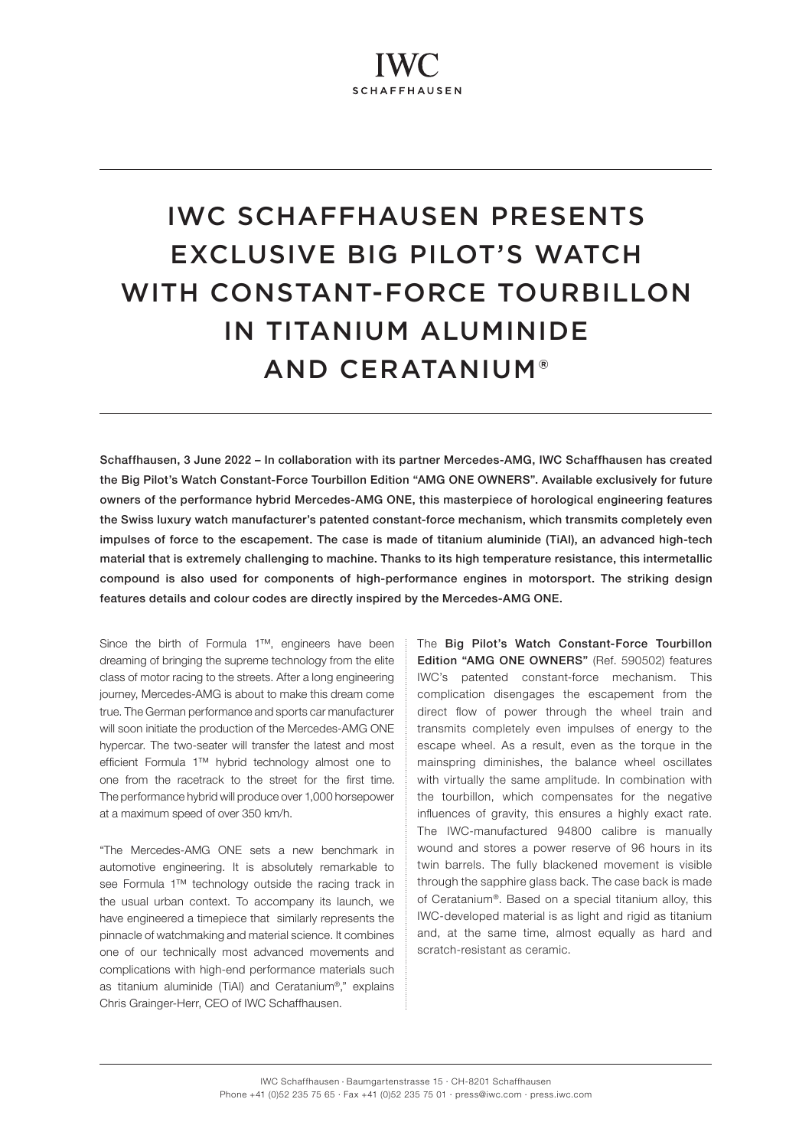# IWC SCHAFFHAUSEN PRESENTS EXCLUSIVE BIG PILOT'S WATCH WITH CONSTANT-FORCE TOURBILLON IN TITANIUM ALUMINIDE AND CERATANIUM®

Schaffhausen, 3 June 2022 – In collaboration with its partner Mercedes-AMG, IWC Schaffhausen has created the Big Pilot's Watch Constant-Force Tourbillon Edition "AMG ONE OWNERS". Available exclusively for future owners of the performance hybrid Mercedes-AMG ONE, this masterpiece of horological engineering features the Swiss luxury watch manufacturer's patented constant-force mechanism, which transmits completely even impulses of force to the escapement. The case is made of titanium aluminide (TiAl), an advanced high-tech material that is extremely challenging to machine. Thanks to its high temperature resistance, this intermetallic compound is also used for components of high-performance engines in motorsport. The striking design features details and colour codes are directly inspired by the Mercedes-AMG ONE.

Since the birth of Formula 1™, engineers have been dreaming of bringing the supreme technology from the elite class of motor racing to the streets. After a long engineering journey, Mercedes-AMG is about to make this dream come true. The German performance and sports car manufacturer will soon initiate the production of the Mercedes-AMG ONE hypercar. The two-seater will transfer the latest and most efficient Formula 1™ hybrid technology almost one to one from the racetrack to the street for the first time. The performance hybrid will produce over 1,000 horsepower at a maximum speed of over 350 km/h.

"The Mercedes-AMG ONE sets a new benchmark in automotive engineering. It is absolutely remarkable to see Formula 1™ technology outside the racing track in the usual urban context. To accompany its launch, we have engineered a timepiece that similarly represents the pinnacle of watchmaking and material science. It combines one of our technically most advanced movements and complications with high-end performance materials such as titanium aluminide (TiAl) and Ceratanium®," explains Chris Grainger-Herr, CEO of IWC Schaffhausen.

The Big Pilot's Watch Constant-Force Tourbillon Edition "AMG ONE OWNERS" (Ref. 590502) features IWC's patented constant-force mechanism. This complication disengages the escapement from the direct flow of power through the wheel train and transmits completely even impulses of energy to the escape wheel. As a result, even as the torque in the mainspring diminishes, the balance wheel oscillates with virtually the same amplitude. In combination with the tourbillon, which compensates for the negative influences of gravity, this ensures a highly exact rate. The IWC-manufactured 94800 calibre is manually wound and stores a power reserve of 96 hours in its twin barrels. The fully blackened movement is visible through the sapphire glass back. The case back is made of Ceratanium®. Based on a special titanium alloy, this IWC-developed material is as light and rigid as titanium and, at the same time, almost equally as hard and scratch-resistant as ceramic.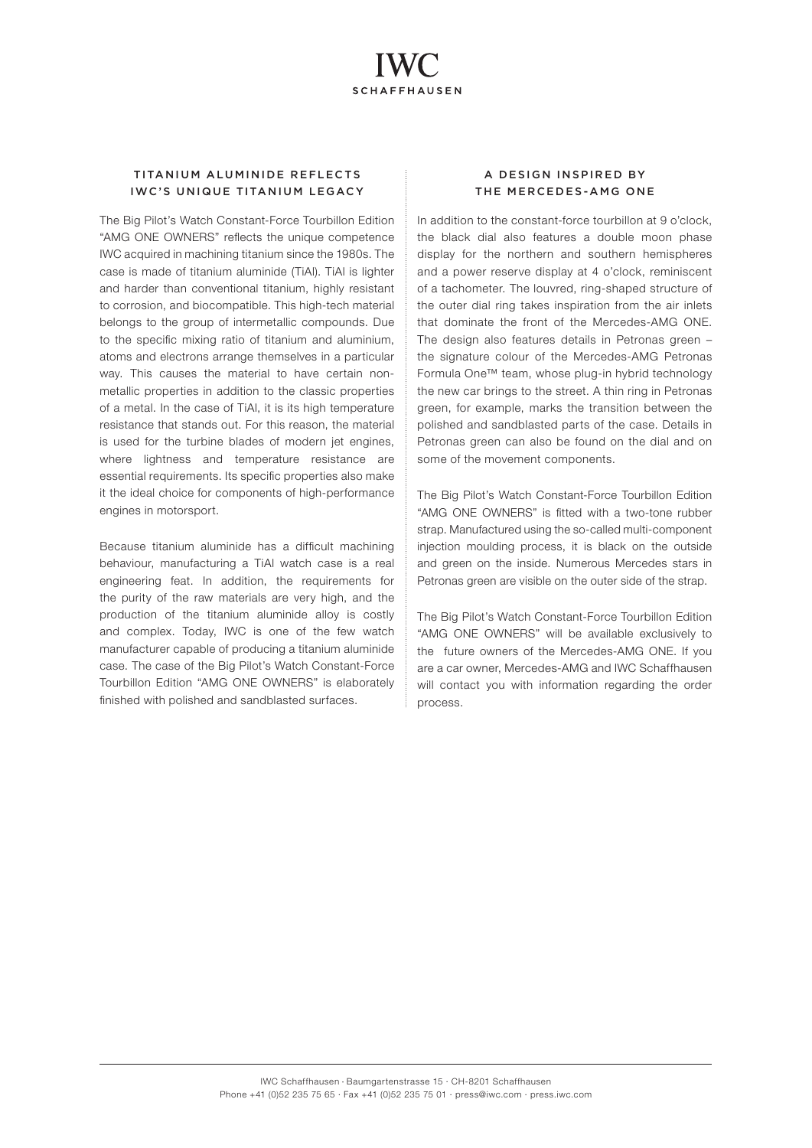## TITANIUM ALUMINIDE REFLECTS IWC'S UNIQUE TITANIUM LEGACY

The Big Pilot's Watch Constant-Force Tourbillon Edition "AMG ONE OWNERS" reflects the unique competence IWC acquired in machining titanium since the 1980s. The case is made of titanium aluminide (TiAl). TiAl is lighter and harder than conventional titanium, highly resistant to corrosion, and biocompatible. This high-tech material belongs to the group of intermetallic compounds. Due to the specific mixing ratio of titanium and aluminium, atoms and electrons arrange themselves in a particular way. This causes the material to have certain nonmetallic properties in addition to the classic properties of a metal. In the case of TiAl, it is its high temperature resistance that stands out. For this reason, the material is used for the turbine blades of modern jet engines, where lightness and temperature resistance are essential requirements. Its specific properties also make it the ideal choice for components of high-performance engines in motorsport.

Because titanium aluminide has a difficult machining behaviour, manufacturing a TiAl watch case is a real engineering feat. In addition, the requirements for the purity of the raw materials are very high, and the production of the titanium aluminide alloy is costly and complex. Today, IWC is one of the few watch manufacturer capable of producing a titanium aluminide case. The case of the Big Pilot's Watch Constant-Force Tourbillon Edition "AMG ONE OWNERS" is elaborately finished with polished and sandblasted surfaces.

## A DESIGN INSPIRED BY THE MERCEDES-AMG ONE

In addition to the constant-force tourbillon at 9 o'clock, the black dial also features a double moon phase display for the northern and southern hemispheres and a power reserve display at 4 o'clock, reminiscent of a tachometer. The louvred, ring-shaped structure of the outer dial ring takes inspiration from the air inlets that dominate the front of the Mercedes-AMG ONE. The design also features details in Petronas green – the signature colour of the Mercedes-AMG Petronas Formula One™ team, whose plug-in hybrid technology the new car brings to the street. A thin ring in Petronas green, for example, marks the transition between the polished and sandblasted parts of the case. Details in Petronas green can also be found on the dial and on some of the movement components.

The Big Pilot's Watch Constant-Force Tourbillon Edition "AMG ONE OWNERS" is fitted with a two-tone rubber strap. Manufactured using the so-called multi-component injection moulding process, it is black on the outside and green on the inside. Numerous Mercedes stars in Petronas green are visible on the outer side of the strap.

The Big Pilot's Watch Constant-Force Tourbillon Edition "AMG ONE OWNERS" will be available exclusively to the future owners of the Mercedes-AMG ONE. If you are a car owner, Mercedes-AMG and IWC Schaffhausen will contact you with information regarding the order process.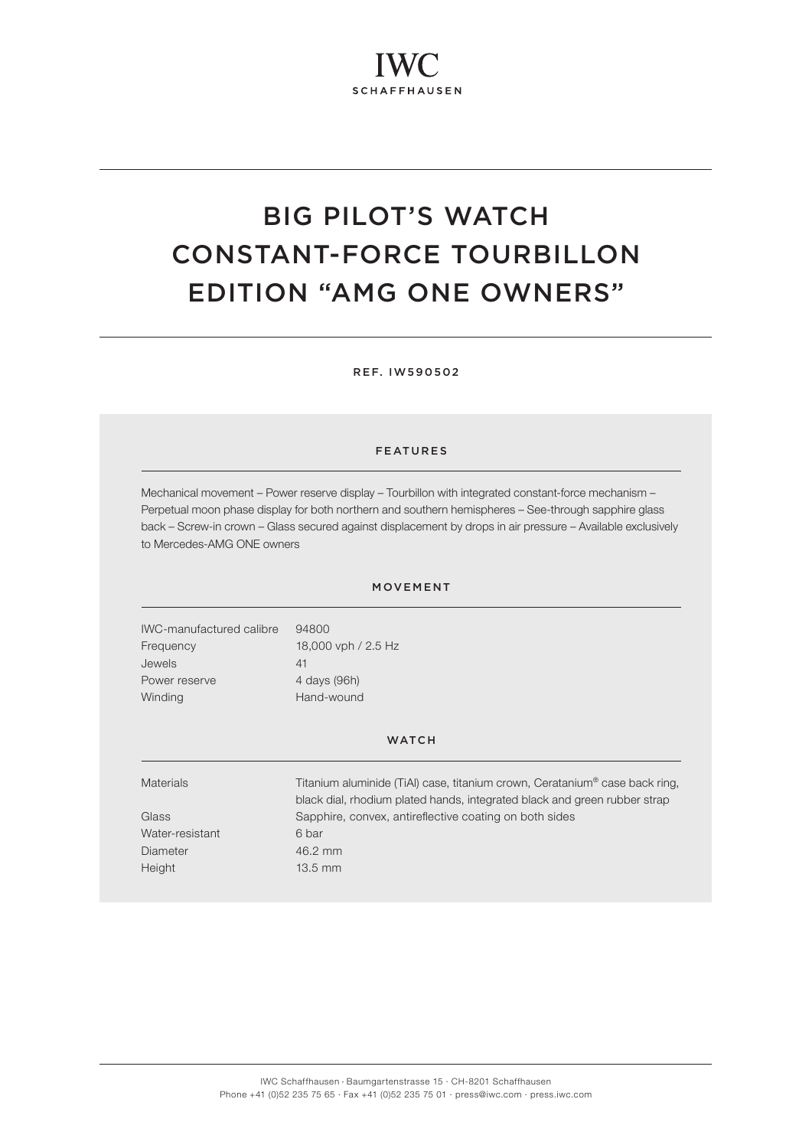# BIG PILOT'S WATCH CONSTANT-FORCE TOURBILLON EDITION "AMG ONE OWNERS"

REF. IW590502

### FEATURES

Mechanical movement – Power reserve display – Tourbillon with integrated constant-force mechanism – Perpetual moon phase display for both northern and southern hemispheres – See-through sapphire glass back – Screw-in crown – Glass secured against displacement by drops in air pressure – Available exclusively to Mercedes-AMG ONE owners

### MOVEMENT

IWC-manufactured calibre 94800 Frequency 18,000 vph / 2.5 Hz Jewels 41 Power reserve 4 days (96h) Winding **Hand-wound** 

#### **WATCH**

| <b>Materials</b> | Titanium aluminide (TiAI) case, titanium crown, Ceratanium® case back ring, |
|------------------|-----------------------------------------------------------------------------|
|                  | black dial, rhodium plated hands, integrated black and green rubber strap   |
| Glass            | Sapphire, convex, antireflective coating on both sides                      |
| Water-resistant  | 6 bar                                                                       |
| Diameter         | 46.2 mm                                                                     |
| Height           | $13.5$ mm                                                                   |
|                  |                                                                             |